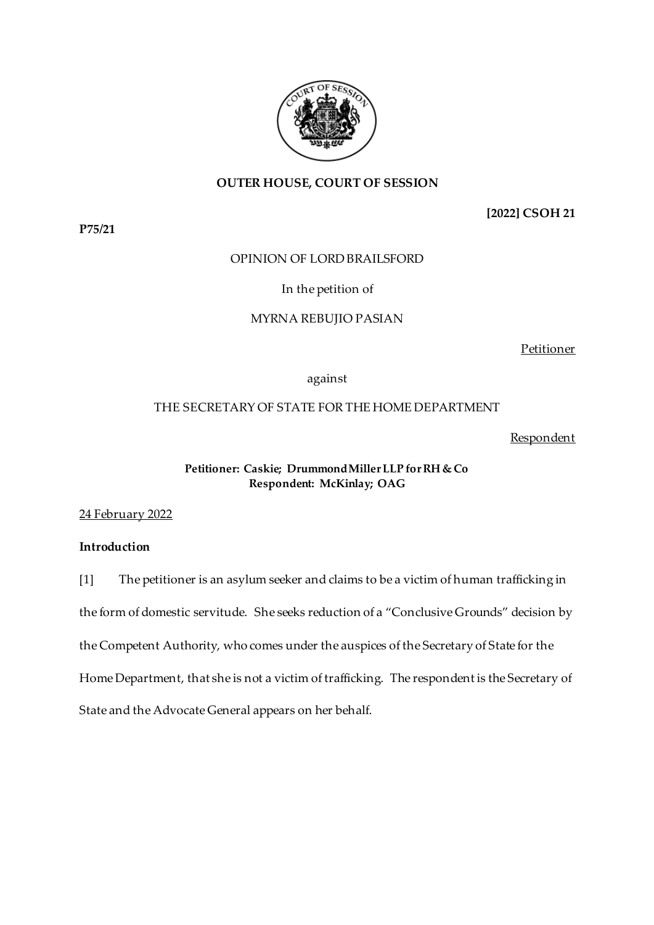

# **OUTER HOUSE, COURT OF SESSION**

**P75/21**

**[2022] CSOH 21**

# OPINION OF LORD BRAILSFORD

# In the petition of

# MYRNA REBUJIO PASIAN

Petitioner

against

# THE SECRETARY OF STATE FOR THE HOME DEPARTMENT

## Respondent

## **Petitioner: Caskie; Drummond Miller LLP for RH & Co Respondent: McKinlay; OAG**

24 February 2022

## **Introduction**

[1] The petitioner is an asylum seeker and claims to be a victim of human trafficking in the form of domestic servitude. She seeks reduction of a "Conclusive Grounds" decision by the Competent Authority, who comes under the auspices of the Secretary of State for the Home Department, that she is not a victim of trafficking. The respondent is the Secretary of State and the Advocate General appears on her behalf.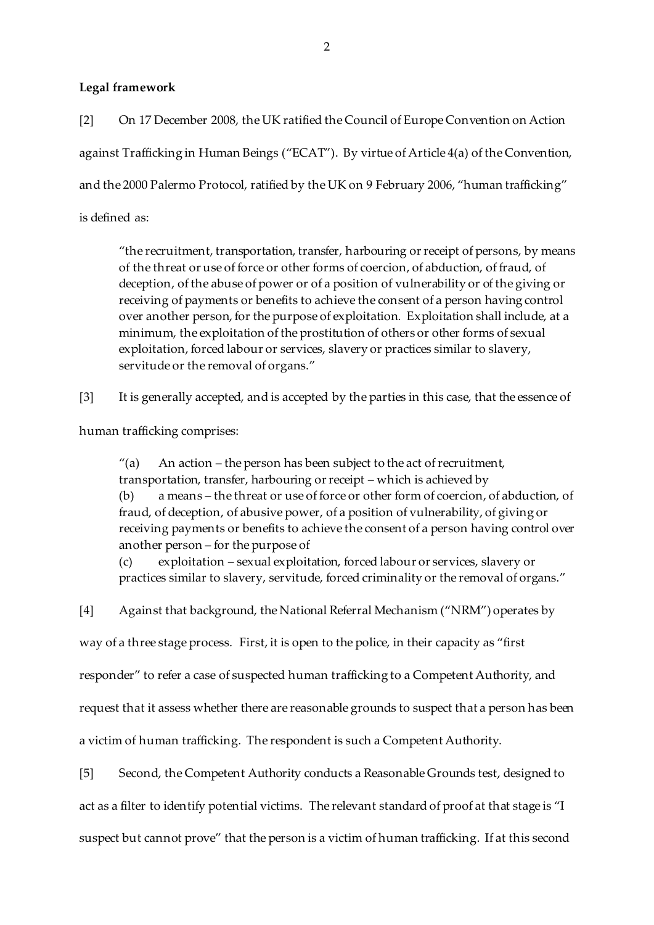## **Legal framework**

[2] On 17 December 2008, the UK ratified the Council of Europe Convention on Action against Trafficking in Human Beings ("ECAT"). By virtue of Article 4(a) of the Convention, and the 2000 Palermo Protocol, ratified by the UK on 9 February 2006, "human trafficking" is defined as:

"the recruitment, transportation, transfer, harbouring or receipt of persons, by means of the threat or use of force or other forms of coercion, of abduction, of fraud, of deception, of the abuse of power or of a position of vulnerability or of the giving or receiving of payments or benefits to achieve the consent of a person having control over another person, for the purpose of exploitation. Exploitation shall include, at a minimum, the exploitation of the prostitution of others or other forms of sexual exploitation, forced labour or services, slavery or practices similar to slavery, servitude or the removal of organs."

[3] It is generally accepted, and is accepted by the parties in this case, that the essence of

human trafficking comprises:

 $''(a)$  An action – the person has been subject to the act of recruitment, transportation, transfer, harbouring or receipt – which is achieved by (b) a means – the threat or use of force or other form of coercion, of abduction, of fraud, of deception, of abusive power, of a position of vulnerability, of giving or receiving payments or benefits to achieve the consent of a person having control over another person – for the purpose of

(c) exploitation – sexual exploitation, forced labour or services, slavery or practices similar to slavery, servitude, forced criminality or the removal of organs."

[4] Against that background, the National Referral Mechanism ("NRM") operates by

way of a three stage process. First, it is open to the police, in their capacity as "first

responder" to refer a case of suspected human trafficking to a Competent Authority, and

request that it assess whether there are reasonable grounds to suspect that a person has been

a victim of human trafficking. The respondent is such a Competent Authority.

[5] Second, the Competent Authority conducts a Reasonable Grounds test, designed to act as a filter to identify potential victims. The relevant standard of proof at that stage is "I suspect but cannot prove" that the person is a victim of human trafficking. If at this second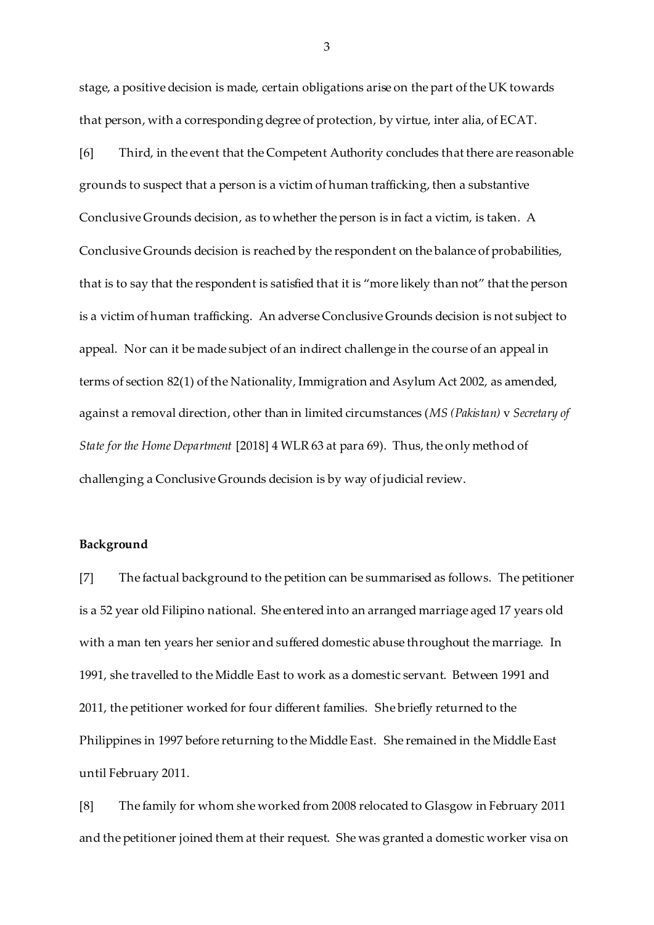stage, a positive decision is made, certain obligations arise on the part of the UK towards that person, with a corresponding degree of protection, by virtue, inter alia, of ECAT.

[6] Third, in the event that the Competent Authority concludes that there are reasonable grounds to suspect that a person is a victim of human trafficking, then a substantive Conclusive Grounds decision, as to whether the person is in fact a victim, is taken. A Conclusive Grounds decision is reached by the respondent on the balance of probabilities, that is to say that the respondent is satisfied that it is "more likely than not" that the person is a victim of human trafficking. An adverse Conclusive Grounds decision is not subject to appeal. Nor can it be made subject of an indirect challenge in the course of an appeal in terms of section 82(1) of the Nationality, Immigration and Asylum Act 2002, as amended, against a removal direction, other than in limited circumstances (*MS (Pakistan)* v *Secretary of State for the Home Department* [2018] 4 WLR 63 at para 69). Thus, the only method of challenging a Conclusive Grounds decision is by way of judicial review.

### **Background**

[7] The factual background to the petition can be summarised as follows. The petitioner is a 52 year old Filipino national. She entered into an arranged marriage aged 17 years old with a man ten years her senior and suffered domestic abuse throughout the marriage. In 1991, she travelled to the Middle East to work as a domestic servant. Between 1991 and 2011, the petitioner worked for four different families. She briefly returned to the Philippines in 1997 before returning to the Middle East. She remained in the Middle East until February 2011.

[8] The family for whom she worked from 2008 relocated to Glasgow in February 2011 and the petitioner joined them at their request. She was granted a domestic worker visa on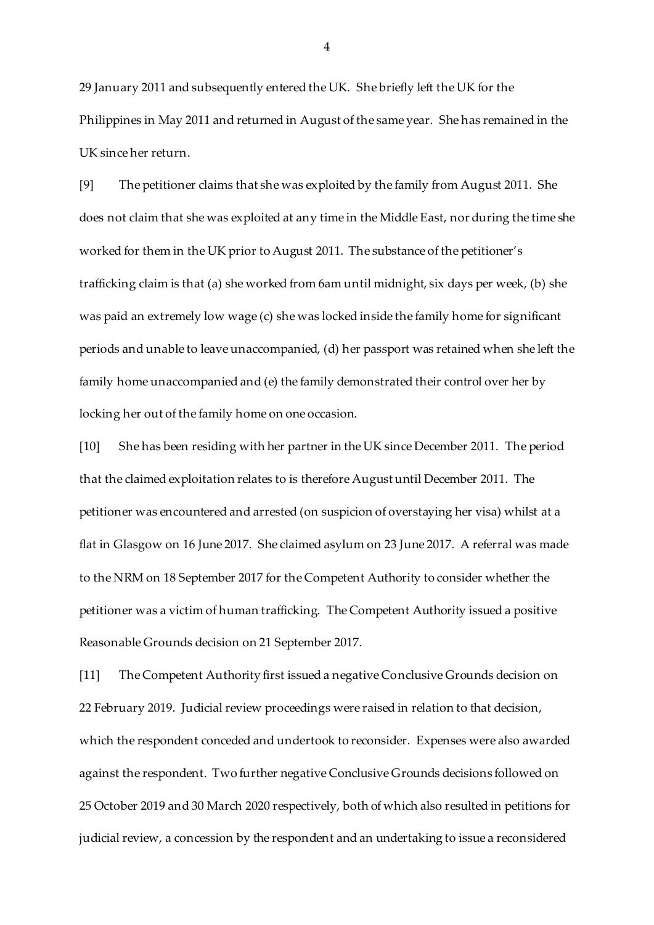29 January 2011 and subsequently entered the UK. She briefly left the UK for the Philippines in May 2011 and returned in August of the same year. She has remained in the UK since her return.

[9] The petitioner claims that she was exploited by the family from August 2011. She does not claim that she was exploited at any time in the Middle East, nor during the time she worked for them in the UK prior to August 2011. The substance of the petitioner's trafficking claim is that (a) she worked from 6am until midnight, six days per week, (b) she was paid an extremely low wage (c) she was locked inside the family home for significant periods and unable to leave unaccompanied, (d) her passport was retained when she left the family home unaccompanied and (e) the family demonstrated their control over her by locking her out of the family home on one occasion.

[10] She has been residing with her partner in the UK since December 2011. The period that the claimed exploitation relates to is therefore August until December 2011. The petitioner was encountered and arrested (on suspicion of overstaying her visa) whilst at a flat in Glasgow on 16 June 2017. She claimed asylum on 23 June 2017. A referral was made to the NRM on 18 September 2017 for the Competent Authority to consider whether the petitioner was a victim of human trafficking. The Competent Authority issued a positive Reasonable Grounds decision on 21 September 2017.

[11] The Competent Authority first issued a negative Conclusive Grounds decision on 22 February 2019. Judicial review proceedings were raised in relation to that decision, which the respondent conceded and undertook to reconsider. Expenses were also awarded against the respondent. Two further negative Conclusive Grounds decisions followed on 25 October 2019 and 30 March 2020 respectively, both of which also resulted in petitions for judicial review, a concession by the respondent and an undertaking to issue a reconsidered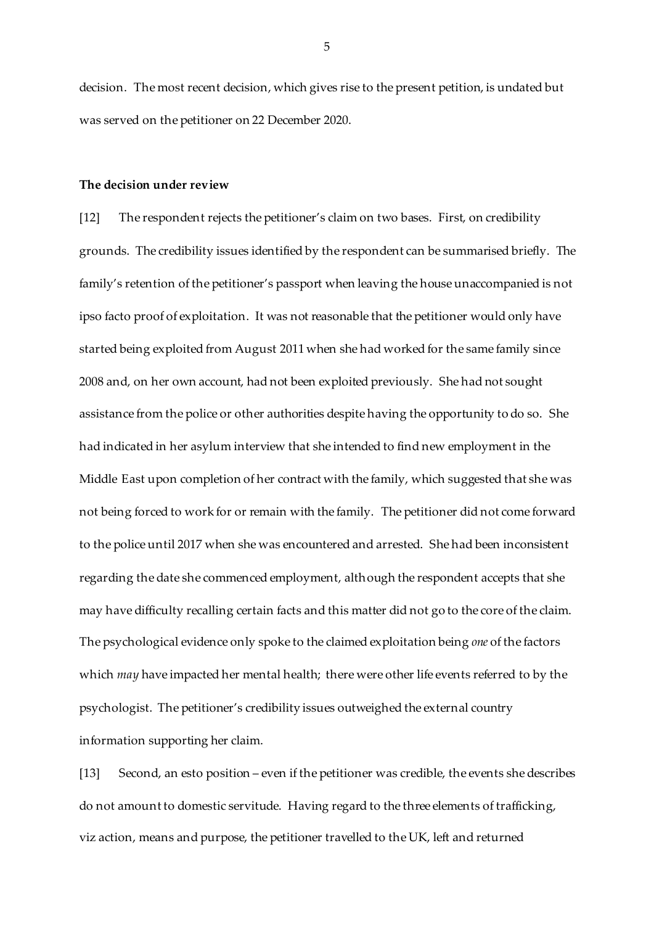decision. The most recent decision, which gives rise to the present petition, is undated but was served on the petitioner on 22 December 2020.

#### **The decision under review**

[12] The respondent rejects the petitioner's claim on two bases. First, on credibility grounds. The credibility issues identified by the respondent can be summarised briefly. The family's retention of the petitioner's passport when leaving the house unaccompanied is not ipso facto proof of exploitation. It was not reasonable that the petitioner would only have started being exploited from August 2011 when she had worked for the same family since 2008 and, on her own account, had not been exploited previously. She had not sought assistance from the police or other authorities despite having the opportunity to do so. She had indicated in her asylum interview that she intended to find new employment in the Middle East upon completion of her contract with the family, which suggested that she was not being forced to work for or remain with the family. The petitioner did not come forward to the police until 2017 when she was encountered and arrested. She had been inconsistent regarding the date she commenced employment, although the respondent accepts that she may have difficulty recalling certain facts and this matter did not go to the core of the claim. The psychological evidence only spoke to the claimed exploitation being *one* of the factors which *may* have impacted her mental health; there were other life events referred to by the psychologist. The petitioner's credibility issues outweighed the external country information supporting her claim.

[13] Second, an esto position – even if the petitioner was credible, the events she describes do not amount to domestic servitude. Having regard to the three elements of trafficking, viz action, means and purpose, the petitioner travelled to the UK, left and returned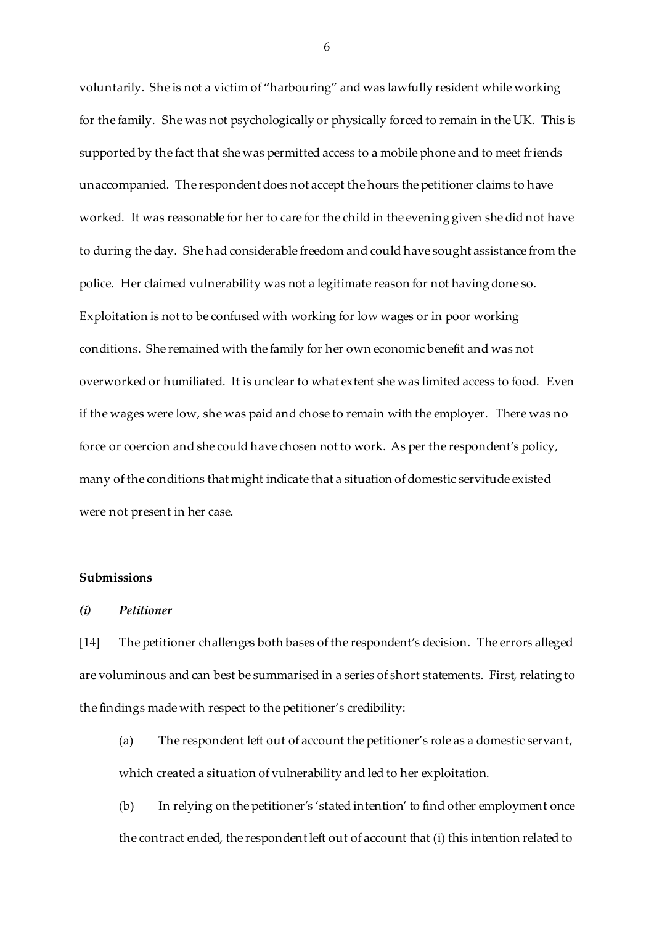voluntarily. She is not a victim of "harbouring" and was lawfully resident while working for the family. She was not psychologically or physically forced to remain in the UK. This is supported by the fact that she was permitted access to a mobile phone and to meet friends unaccompanied. The respondent does not accept the hours the petitioner claims to have worked. It was reasonable for her to care for the child in the evening given she did not have to during the day. She had considerable freedom and could have sought assistance from the police. Her claimed vulnerability was not a legitimate reason for not having done so. Exploitation is not to be confused with working for low wages or in poor working conditions. She remained with the family for her own economic benefit and was not overworked or humiliated. It is unclear to what extent she was limited access to food. Even if the wages were low, she was paid and chose to remain with the employer. There was no force or coercion and she could have chosen not to work. As per the respondent's policy, many of the conditions that might indicate that a situation of domestic servitude existed were not present in her case.

#### **Submissions**

#### *(i) Petitioner*

[14] The petitioner challenges both bases of the respondent's decision. The errors alleged are voluminous and can best be summarised in a series of short statements. First, relating to the findings made with respect to the petitioner's credibility:

- (a) The respondent left out of account the petitioner's role as a domestic servant, which created a situation of vulnerability and led to her exploitation.
- (b) In relying on the petitioner's 'stated intention' to find other employment once the contract ended, the respondent left out of account that (i) this intention related to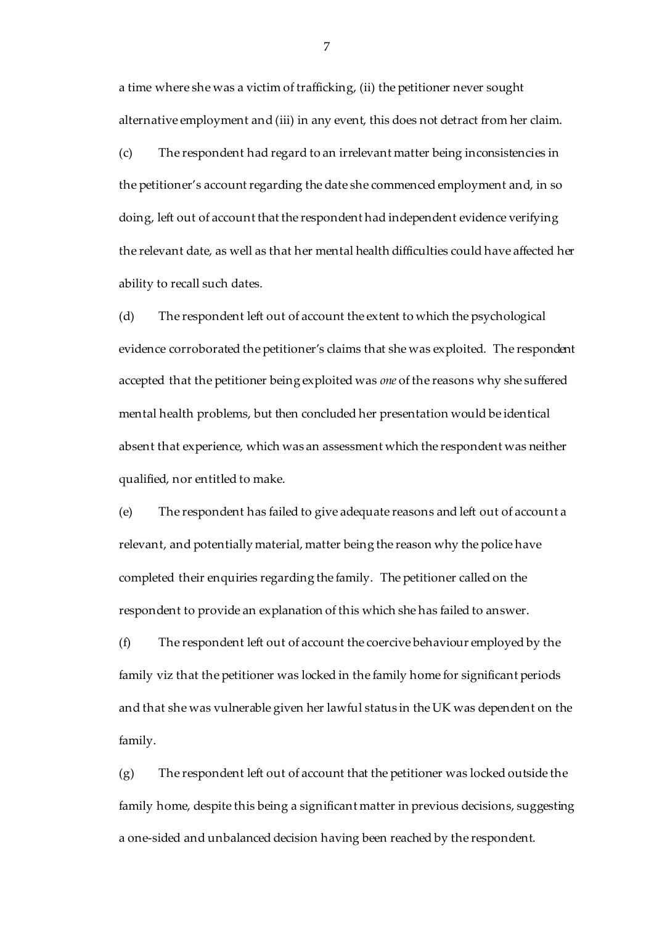a time where she was a victim of trafficking, (ii) the petitioner never sought alternative employment and (iii) in any event, this does not detract from her claim.

(c) The respondent had regard to an irrelevant matter being inconsistencies in the petitioner's account regarding the date she commenced employment and, in so doing, left out of account that the respondent had independent evidence verifying the relevant date, as well as that her mental health difficulties could have affected her ability to recall such dates.

(d) The respondent left out of account the extent to which the psychological evidence corroborated the petitioner's claims that she was exploited. The respondent accepted that the petitioner being exploited was *one* of the reasons why she suffered mental health problems, but then concluded her presentation would be identical absent that experience, which was an assessment which the respondent was neither qualified, nor entitled to make.

(e) The respondent has failed to give adequate reasons and left out of account a relevant, and potentially material, matter being the reason why the police have completed their enquiries regarding the family. The petitioner called on the respondent to provide an explanation of this which she has failed to answer.

(f) The respondent left out of account the coercive behaviour employed by the family viz that the petitioner was locked in the family home for significant periods and that she was vulnerable given her lawful status in the UK was dependent on the family.

(g) The respondent left out of account that the petitioner was locked outside the family home, despite this being a significant matter in previous decisions, suggesting a one-sided and unbalanced decision having been reached by the respondent.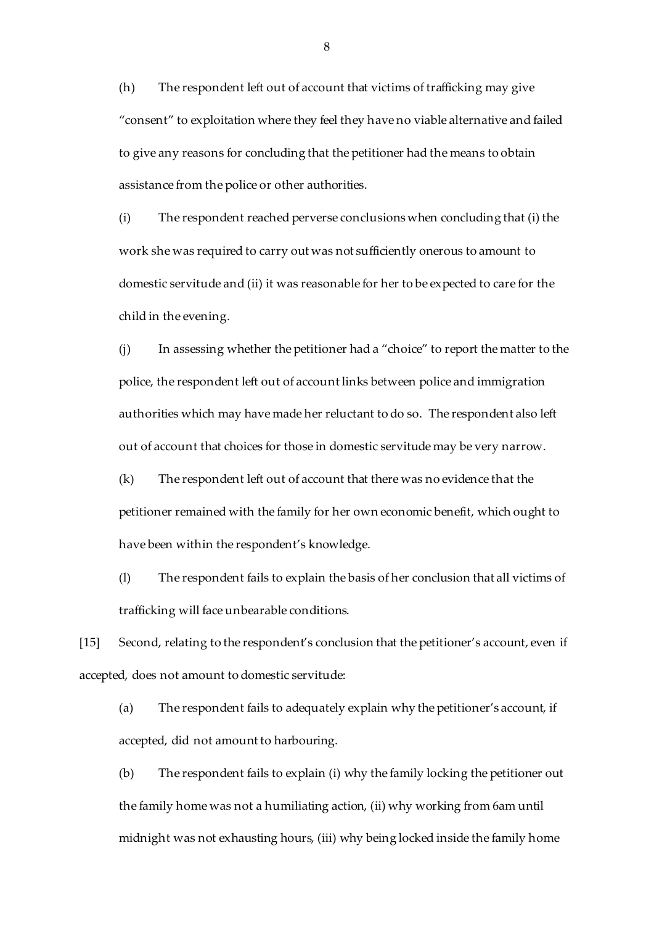(h) The respondent left out of account that victims of trafficking may give "consent" to exploitation where they feel they have no viable alternative and failed to give any reasons for concluding that the petitioner had the means to obtain assistance from the police or other authorities.

(i) The respondent reached perverse conclusions when concluding that (i) the work she was required to carry out was not sufficiently onerous to amount to domestic servitude and (ii) it was reasonable for her to be expected to care for the child in the evening.

(j) In assessing whether the petitioner had a "choice" to report the matter to the police, the respondent left out of account links between police and immigration authorities which may have made her reluctant to do so. The respondent also left out of account that choices for those in domestic servitude may be very narrow.

(k) The respondent left out of account that there was no evidence that the petitioner remained with the family for her own economic benefit, which ought to have been within the respondent's knowledge.

(l) The respondent fails to explain the basis of her conclusion that all victims of trafficking will face unbearable conditions.

[15] Second, relating to the respondent's conclusion that the petitioner's account, even if accepted, does not amount to domestic servitude:

(a) The respondent fails to adequately explain why the petitioner's account, if accepted, did not amount to harbouring.

(b) The respondent fails to explain (i) why the family locking the petitioner out the family home was not a humiliating action, (ii) why working from 6am until midnight was not exhausting hours, (iii) why being locked inside the family home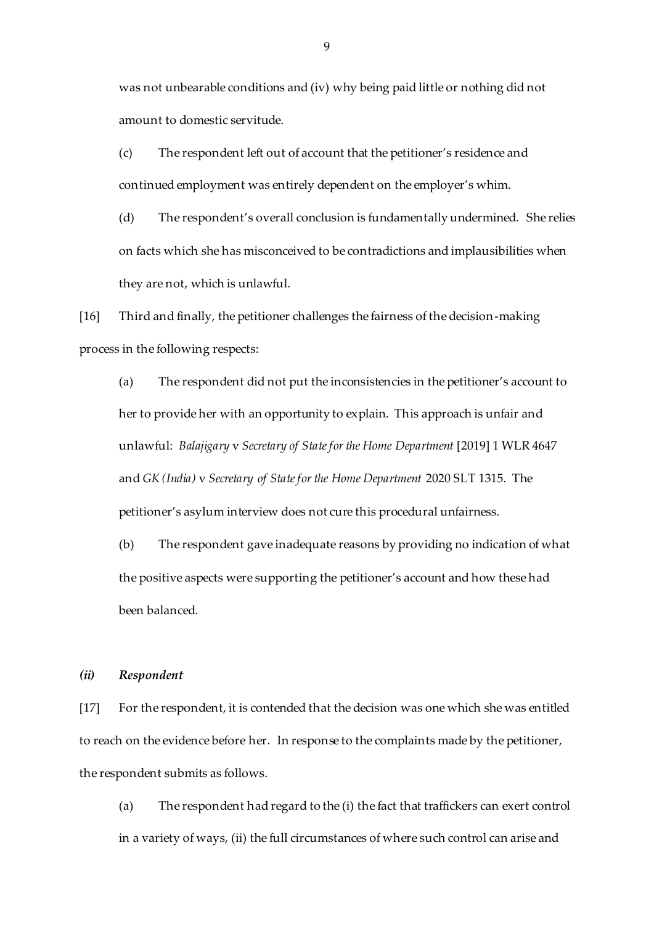was not unbearable conditions and (iv) why being paid little or nothing did not amount to domestic servitude.

(c) The respondent left out of account that the petitioner's residence and continued employment was entirely dependent on the employer's whim.

(d) The respondent's overall conclusion is fundamentally undermined. She relies on facts which she has misconceived to be contradictions and implausibilities when they are not, which is unlawful.

[16] Third and finally, the petitioner challenges the fairness of the decision-making process in the following respects:

(a) The respondent did not put the inconsistencies in the petitioner's account to her to provide her with an opportunity to explain. This approach is unfair and unlawful: *Balajigary* v *Secretary of State for the Home Department* [2019] 1 WLR 4647 and *GK (India)* v *Secretary of State for the Home Department* 2020 SLT 1315. The petitioner's asylum interview does not cure this procedural unfairness.

(b) The respondent gave inadequate reasons by providing no indication of what the positive aspects were supporting the petitioner's account and how these had been balanced.

#### *(ii) Respondent*

[17] For the respondent, it is contended that the decision was one which she was entitled to reach on the evidence before her. In response to the complaints made by the petitioner, the respondent submits as follows.

(a) The respondent had regard to the (i) the fact that traffickers can exert control in a variety of ways, (ii) the full circumstances of where such control can arise and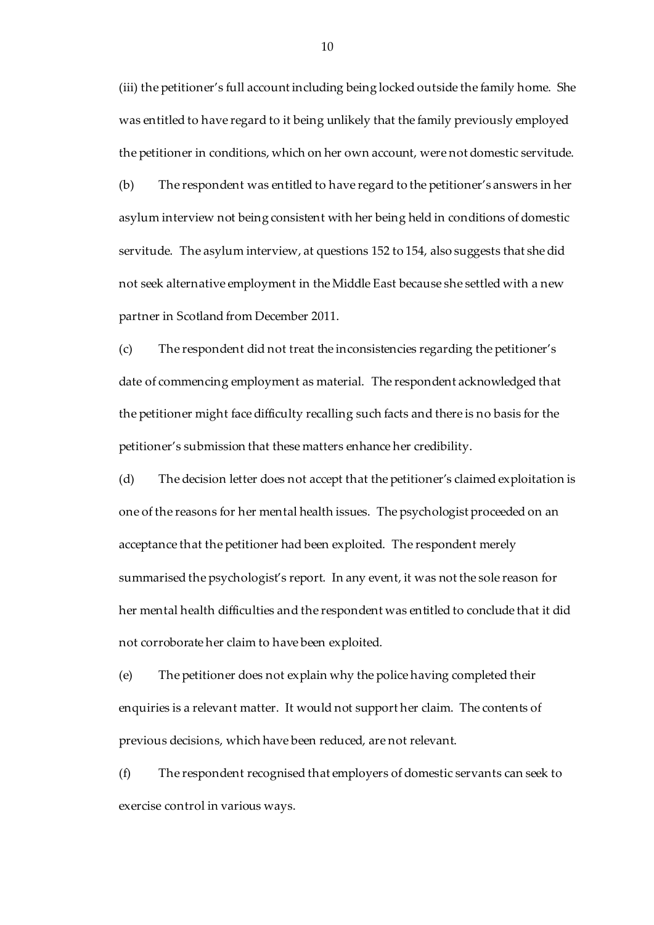(iii) the petitioner's full account including being locked outside the family home. She was entitled to have regard to it being unlikely that the family previously employed the petitioner in conditions, which on her own account, were not domestic servitude.

(b) The respondent was entitled to have regard to the petitioner's answers in her asylum interview not being consistent with her being held in conditions of domestic servitude. The asylum interview, at questions 152 to 154, also suggests that she did not seek alternative employment in the Middle East because she settled with a new partner in Scotland from December 2011.

(c) The respondent did not treat the inconsistencies regarding the petitioner's date of commencing employment as material. The respondent acknowledged that the petitioner might face difficulty recalling such facts and there is no basis for the petitioner's submission that these matters enhance her credibility.

(d) The decision letter does not accept that the petitioner's claimed exploitation is one of the reasons for her mental health issues. The psychologist proceeded on an acceptance that the petitioner had been exploited. The respondent merely summarised the psychologist's report. In any event, it was not the sole reason for her mental health difficulties and the respondent was entitled to conclude that it did not corroborate her claim to have been exploited.

(e) The petitioner does not explain why the police having completed their enquiries is a relevant matter. It would not support her claim. The contents of previous decisions, which have been reduced, are not relevant.

(f) The respondent recognised that employers of domestic servants can seek to exercise control in various ways.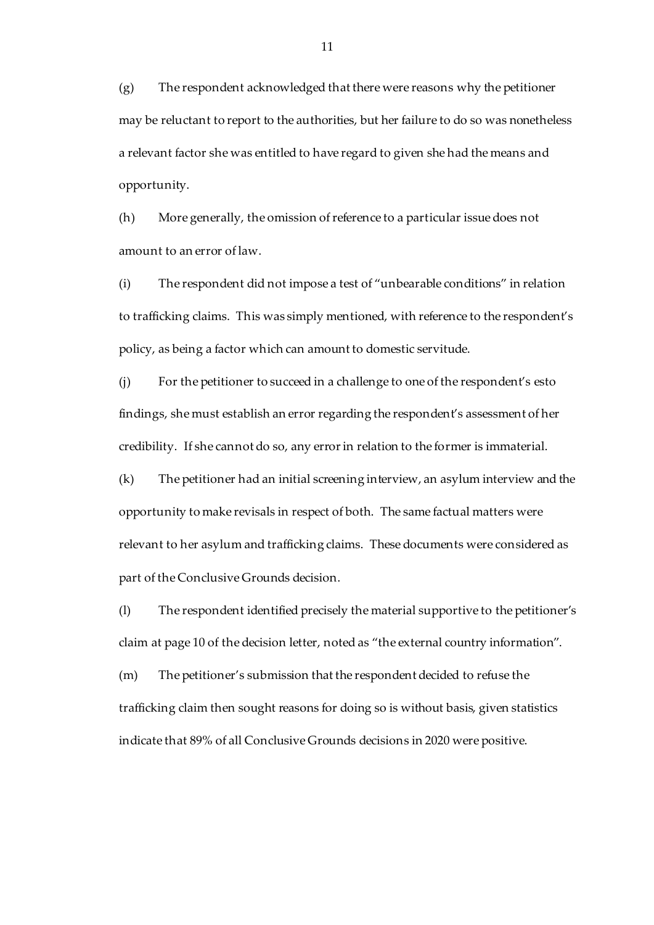(g) The respondent acknowledged that there were reasons why the petitioner may be reluctant to report to the authorities, but her failure to do so was nonetheless a relevant factor she was entitled to have regard to given she had the means and opportunity.

(h) More generally, the omission of reference to a particular issue does not amount to an error of law.

(i) The respondent did not impose a test of "unbearable conditions" in relation to trafficking claims. This was simply mentioned, with reference to the respondent's policy, as being a factor which can amount to domestic servitude.

(j) For the petitioner to succeed in a challenge to one of the respondent's esto findings, she must establish an error regarding the respondent's assessment of her credibility. If she cannot do so, any error in relation to the former is immaterial.

(k) The petitioner had an initial screening interview, an asylum interview and the opportunity to make revisals in respect of both. The same factual matters were relevant to her asylum and trafficking claims. These documents were considered as part of the Conclusive Grounds decision.

(l) The respondent identified precisely the material supportive to the petitioner's claim at page 10 of the decision letter, noted as "the external country information".

(m) The petitioner's submission that the respondent decided to refuse the trafficking claim then sought reasons for doing so is without basis, given statistics indicate that 89% of all Conclusive Grounds decisions in 2020 were positive.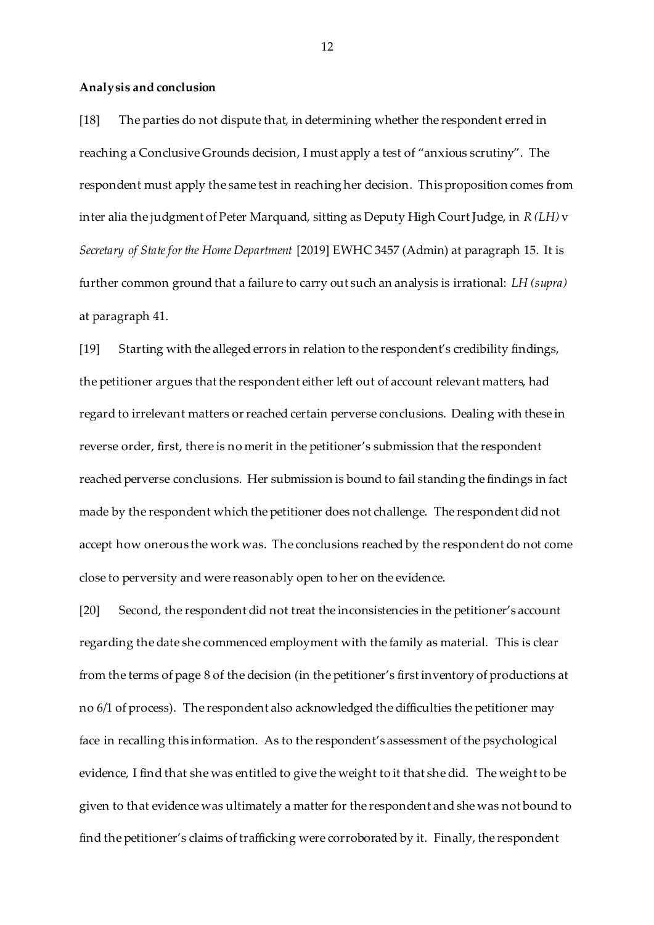#### **Analysis and conclusion**

[18] The parties do not dispute that, in determining whether the respondent erred in reaching a Conclusive Grounds decision, I must apply a test of "anxious scrutiny". The respondent must apply the same test in reaching her decision. This proposition comes from inter alia the judgment of Peter Marquand, sitting as Deputy High Court Judge, in *R (LH)* v *Secretary of State for the Home Department* [2019] EWHC 3457 (Admin) at paragraph 15. It is further common ground that a failure to carry out such an analysis is irrational: *LH (supra)*  at paragraph 41.

[19] Starting with the alleged errors in relation to the respondent's credibility findings, the petitioner argues that the respondent either left out of account relevant matters, had regard to irrelevant matters or reached certain perverse conclusions. Dealing with these in reverse order, first, there is no merit in the petitioner's submission that the respondent reached perverse conclusions. Her submission is bound to fail standing the findings in fact made by the respondent which the petitioner does not challenge. The respondent did not accept how onerous the work was. The conclusions reached by the respondent do not come close to perversity and were reasonably open to her on the evidence.

[20] Second, the respondent did not treat the inconsistencies in the petitioner's account regarding the date she commenced employment with the family as material. This is clear from the terms of page 8 of the decision (in the petitioner's first inventory of productions at no 6/1 of process). The respondent also acknowledged the difficulties the petitioner may face in recalling this information. As to the respondent's assessment of the psychological evidence, I find that she was entitled to give the weight to it that she did. The weight to be given to that evidence was ultimately a matter for the respondent and she was not bound to find the petitioner's claims of trafficking were corroborated by it. Finally, the respondent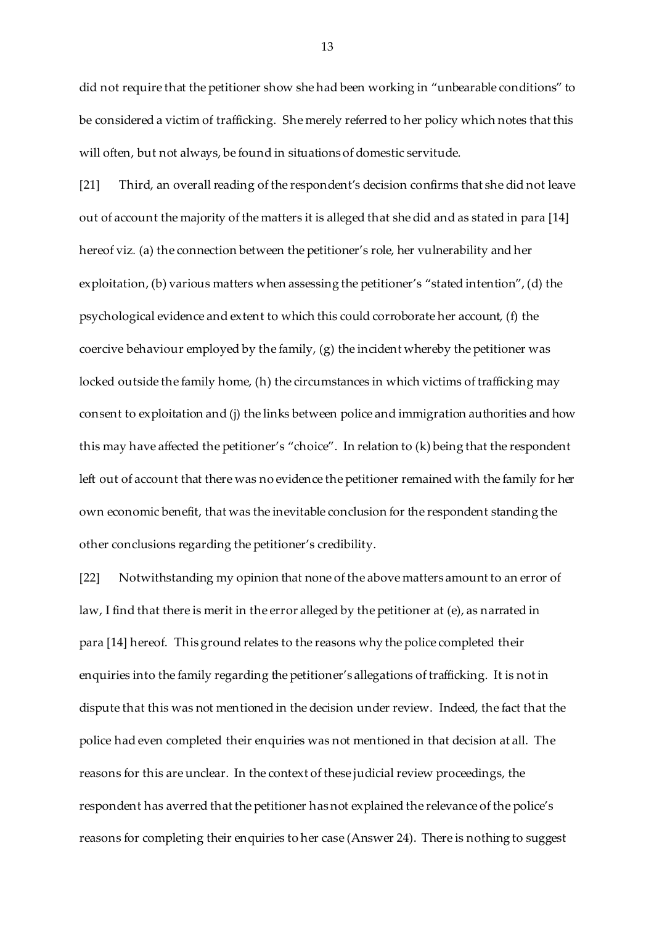did not require that the petitioner show she had been working in "unbearable conditions" to be considered a victim of trafficking. She merely referred to her policy which notes that this will often, but not always, be found in situations of domestic servitude.

[21] Third, an overall reading of the respondent's decision confirms that she did not leave out of account the majority of the matters it is alleged that she did and as stated in para [14] hereof viz*.* (a) the connection between the petitioner's role, her vulnerability and her exploitation, (b) various matters when assessing the petitioner's "stated intention", (d) the psychological evidence and extent to which this could corroborate her account, (f) the coercive behaviour employed by the family, (g) the incident whereby the petitioner was locked outside the family home, (h) the circumstances in which victims of trafficking may consent to exploitation and (j) the links between police and immigration authorities and how this may have affected the petitioner's "choice". In relation to (k) being that the respondent left out of account that there was no evidence the petitioner remained with the family for her own economic benefit, that was the inevitable conclusion for the respondent standing the other conclusions regarding the petitioner's credibility.

[22] Notwithstanding my opinion that none of the above matters amount to an error of law, I find that there is merit in the error alleged by the petitioner at (e), as narrated in para [14] hereof. This ground relates to the reasons why the police completed their enquiries into the family regarding the petitioner's allegations of trafficking. It is not in dispute that this was not mentioned in the decision under review. Indeed, the fact that the police had even completed their enquiries was not mentioned in that decision at all. The reasons for this are unclear. In the context of these judicial review proceedings, the respondent has averred that the petitioner has not explained the relevance of the police's reasons for completing their enquiries to her case (Answer 24). There is nothing to suggest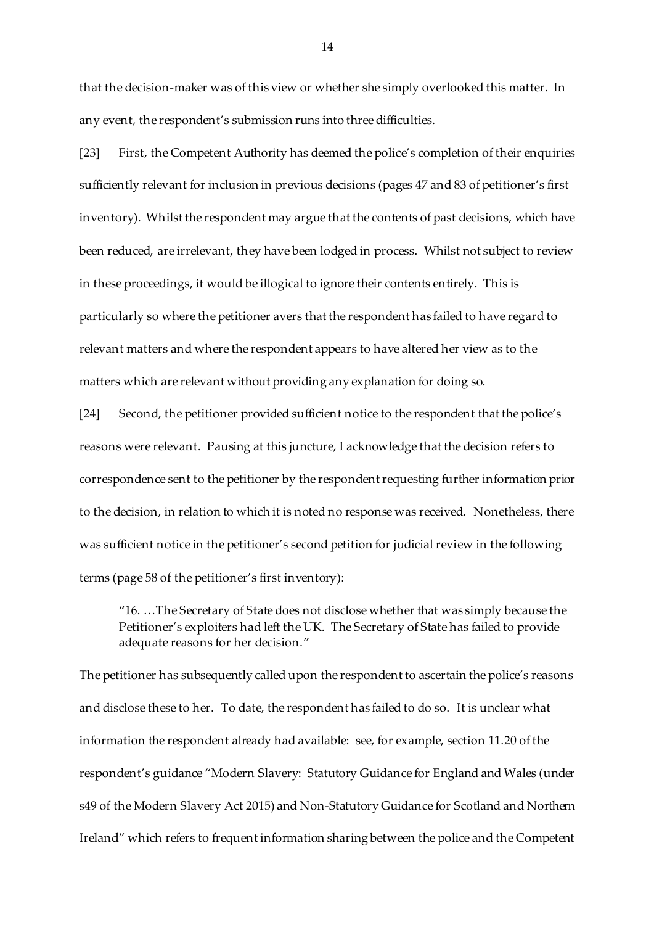that the decision-maker was of this view or whether she simply overlooked this matter. In any event, the respondent's submission runs into three difficulties.

[23] First, the Competent Authority has deemed the police's completion of their enquiries sufficiently relevant for inclusion in previous decisions (pages 47 and 83 of petitioner's first inventory). Whilst the respondent may argue that the contents of past decisions, which have been reduced, are irrelevant, they have been lodged in process. Whilst not subject to review in these proceedings, it would be illogical to ignore their contents entirely. This is particularly so where the petitioner avers that the respondent has failed to have regard to relevant matters and where the respondent appears to have altered her view as to the matters which are relevant without providing any explanation for doing so.

[24] Second, the petitioner provided sufficient notice to the respondent that the police's reasons were relevant. Pausing at this juncture, I acknowledge that the decision refers to correspondence sent to the petitioner by the respondent requesting further information prior to the decision, in relation to which it is noted no response was received. Nonetheless, there was sufficient notice in the petitioner's second petition for judicial review in the following terms (page 58 of the petitioner's first inventory):

"16. …The Secretary of State does not disclose whether that was simply because the Petitioner's exploiters had left the UK. The Secretary of State has failed to provide adequate reasons for her decision."

The petitioner has subsequently called upon the respondent to ascertain the police's reasons and disclose these to her. To date, the respondent has failed to do so. It is unclear what information the respondent already had available: see, for example, section 11.20 of the respondent's guidance "Modern Slavery: Statutory Guidance for England and Wales (under s49 of the Modern Slavery Act 2015) and Non-Statutory Guidance for Scotland and Northern Ireland" which refers to frequent information sharing between the police and the Competent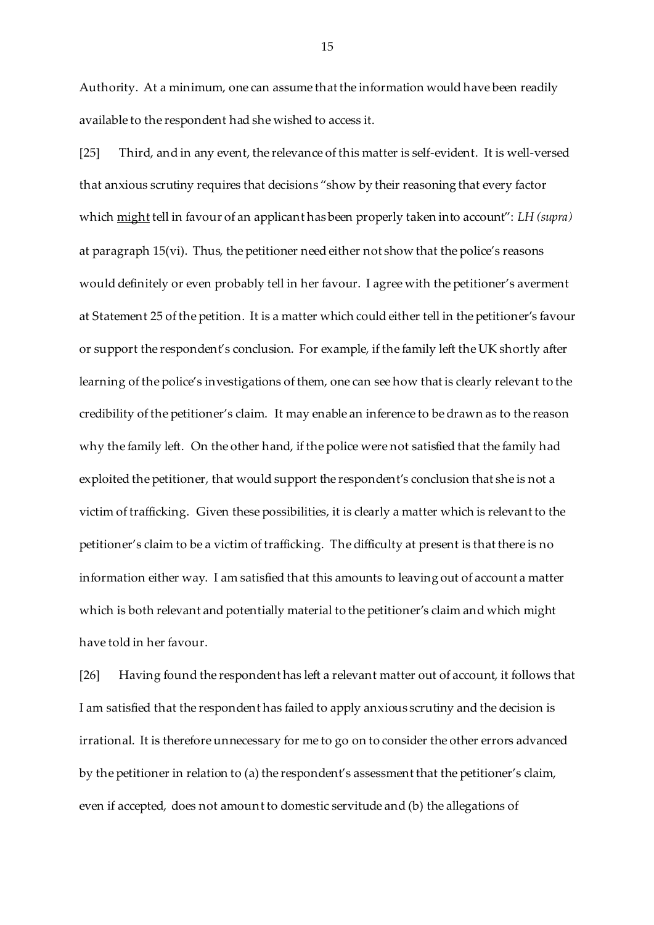Authority. At a minimum, one can assume that the information would have been readily available to the respondent had she wished to access it.

[25] Third, and in any event, the relevance of this matter is self-evident. It is well-versed that anxious scrutiny requires that decisions "show by their reasoning that every factor which might tell in favour of an applicant has been properly taken into account": *LH (supra)*  at paragraph 15(vi). Thus, the petitioner need either not show that the police's reasons would definitely or even probably tell in her favour. I agree with the petitioner's averment at Statement 25 of the petition. It is a matter which could either tell in the petitioner's favour or support the respondent's conclusion. For example, if the family left the UK shortly after learning of the police's investigations of them, one can see how that is clearly relevant to the credibility of the petitioner's claim. It may enable an inference to be drawn as to the reason why the family left. On the other hand, if the police were not satisfied that the family had exploited the petitioner, that would support the respondent's conclusion that she is not a victim of trafficking. Given these possibilities, it is clearly a matter which is relevant to the petitioner's claim to be a victim of trafficking. The difficulty at present is that there is no information either way. I am satisfied that this amounts to leaving out of account a matter which is both relevant and potentially material to the petitioner's claim and which might have told in her favour.

[26] Having found the respondent has left a relevant matter out of account, it follows that I am satisfied that the respondent has failed to apply anxious scrutiny and the decision is irrational. It is therefore unnecessary for me to go on to consider the other errors advanced by the petitioner in relation to (a) the respondent's assessment that the petitioner's claim, even if accepted, does not amount to domestic servitude and (b) the allegations of